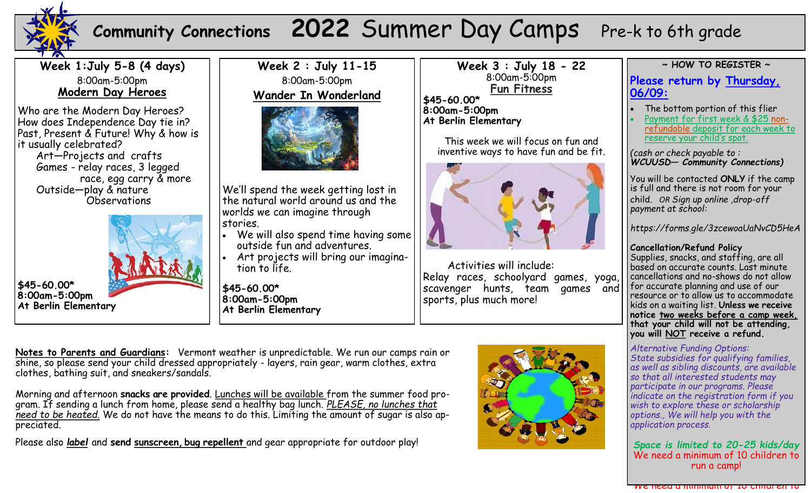

## **Community Connections 2022 Summer Day Camps** Pre-k to 6th grade

**Week 1:July 5-8 (4 days)** 8:00am-5:00pm **Modern Day Heroes**

Who are the Modern Day Heroes? How does Independence Day tie in? Past, Present & Future! Why & how is it usually celebrated? Art—Projects and crafts Games - relay races, 3 legged race, egg carry & more

 Outside—play & nature Observations



**\$45-60.00\* 8:00am-5:00pm At Berlin Elementary** 





We'll spend the week getting lost in the natural world around us and the worlds we can imagine through stories.

- We will also spend time having some outside fun and adventures.
- Art projects will bring our imagination to life.

**\$45-60.00\* 8:00am-5:00pm At Berlin Elementary** **Week 3 : July 18 - 22** 8:00am-5:00pm **Fun Fitness**

**\$45-60.00\* 8:00am-5:00pm At Berlin Elementary**

> This week we will focus on fun and inventive ways to have fun and be fit.



Activities will include: Relay races, schoolyard games, yoga, scavenger hunts, team games and sports, plus much more!

**~ HOW TO REGISTER ~**

Please return by <u>Thursday,</u> and The bottom portion of this flier **06/09:**

- The bottom portion of this flier
- refundable deposit for each week to <u>reserve your child's spot.</u> Payment for first week & \$25 non-

(cash or check payable to :  $\overline{\phantom{a}}$ WCUUSD— *Community Connections*)

child. *OR Sign up online (pay at drop-off) at:*  You will be contacted **ONLY** if the camp *https://docs.google.com/forms/d/* is full and there is not room for your *e/1FAIpQLSdOg-4UhNtp4hW1\_jHsXa-*child. *OR Sign up online ,drop-off tCrFjytDNydWTE\_b9ZDAVfuLfrQ/ payment at school:* 

*viewform? vc=0&c=0&w=1&flr=0&gxids=7628 https://forms.gle/3zcewoaUaNvCD5HeA*

**Cancellation/Refund Policy**

Supplies, snacks, and staffing, are all based on accurate counts. Last minute cancellations and no-shows do not allow for accurate planning and use of our resource or to allow us to accommodate kids on a waiting list. Unless we receive notice <u>two weeks before a camp week,</u> that your child will not be attending, **before camp week, (Wednesday for you will NOT receive a refund.** 

**Monday's camp) that your child will not be attending, you will NOT receive a**  *Alternative Funding Options:* State subsidies for qualifying families, *Alternative Funding Options: so that all interested students may State subsidies for qualifying families, as participate in our programs. Please well as sibling discounts, scholarships, indicate on the registration form if you volunteer exchanges, etc. are available so wish to explore these or scholarship that all interested students may options., We will help you with the participate in our programs. Please application process. as well as sibling discounts, are available* 

## *indicate on the registration form if you wish to explore these options., We will Space is limited to 20-25 kids/day* We need a minimum of 10 children to run a camp!

We need a minimum of 10 children to

**Notes to Parents and Guardians:** Vermont weather is unpredictable. We run our camps rain or shine, so please send your child dressed appropriately - layers, rain gear, warm clothes, extra clothes, bathing suit, and sneakers/sandals.

Morning and afternoon **snacks are provided**. Lunches will be available from the summer food program. If sending a lunch from home, please send a healthy bag lunch. *PLEASE, no lunches that need to be heated.* We do not have the means to do this. Limiting the amount of sugar is also appreciated.

Please also *label* and **send sunscreen, bug repellent** and gear appropriate for outdoor play!